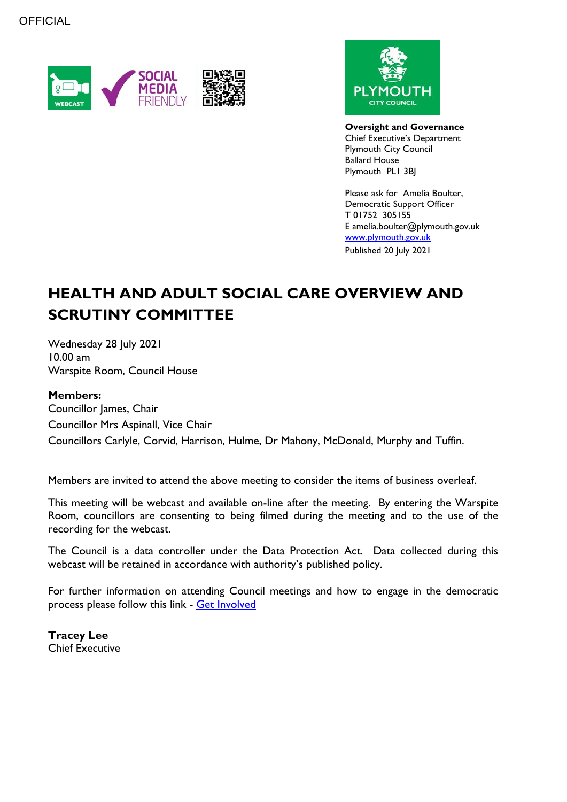



**Oversight and Governance** Chief Executive's Department Plymouth City Council Ballard House Plymouth PL1 3BJ

Please ask for Amelia Boulter, Democratic Support Officer T 01752 305155 E amelia.boulter@plymouth.gov.uk [www.plymouth.gov.uk](https://www.plymouth.gov.uk/councillorscommitteesandmeetings) Published 20 July 2021

# **HEALTH AND ADULT SOCIAL CARE OVERVIEW AND SCRUTINY COMMITTEE**

Wednesday 28 July 2021 10.00 am Warspite Room, Council House

#### **Members:**

Councillor James, Chair Councillor Mrs Aspinall, Vice Chair Councillors Carlyle, Corvid, Harrison, Hulme, Dr Mahony, McDonald, Murphy and Tuffin.

Members are invited to attend the above meeting to consider the items of business overleaf.

This meeting will be webcast and available on-line after the meeting. By entering the Warspite Room, councillors are consenting to being filmed during the meeting and to the use of the recording for the webcast.

The Council is a data controller under the Data Protection Act. Data collected during this webcast will be retained in accordance with authority's published policy.

For further information on attending Council meetings and how to engage in the democratic process please follow this link - [Get Involved](https://www.plymouth.gov.uk/councillorscommitteesandmeetings/getinvolved)

**Tracey Lee** Chief Executive